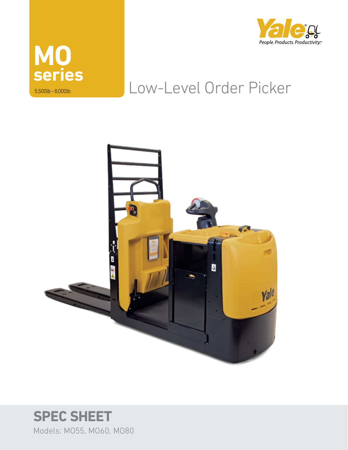



## Low-Level Order Picker



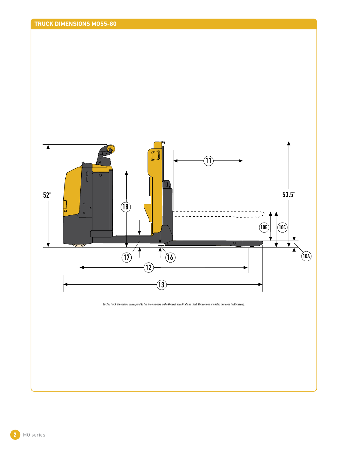

**2** MO series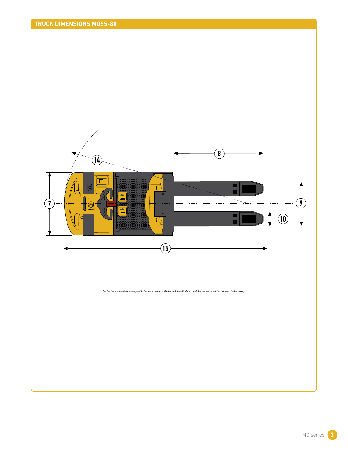



*Circled truck dimensions correspond to the line numbers in the General Specifications chart. Dimensions are listed in inches (millimeters).*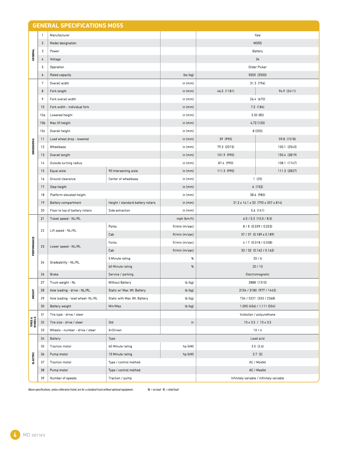|                               | $\mathbf{1}$    | Manufacturer                                                                                                            |                                   |                                         |                                                | Yale                                      |  |  |  |
|-------------------------------|-----------------|-------------------------------------------------------------------------------------------------------------------------|-----------------------------------|-----------------------------------------|------------------------------------------------|-------------------------------------------|--|--|--|
|                               | $\overline{2}$  | Model designation                                                                                                       |                                   |                                         | M055                                           |                                           |  |  |  |
| <b>GENERAL</b>                | 3               | Power                                                                                                                   |                                   |                                         | Battery                                        |                                           |  |  |  |
|                               | 4               | Voltage                                                                                                                 |                                   |                                         | 34                                             |                                           |  |  |  |
|                               | 5               | Operation                                                                                                               |                                   |                                         | Order Picker                                   |                                           |  |  |  |
|                               | 6               | Rated capacity                                                                                                          |                                   | lbs (kg)                                |                                                | 5500 (2500)                               |  |  |  |
|                               | 7               | Overall width                                                                                                           |                                   | in (mm)                                 |                                                | 31.3 (796)                                |  |  |  |
|                               | 8               | Fork length                                                                                                             |                                   | in (mm)                                 | 46.5 (1181)                                    | 94.9 (2411)                               |  |  |  |
|                               | 9               | Fork overall width                                                                                                      |                                   | in (mm)                                 |                                                | 26.4 (670)                                |  |  |  |
|                               | 10              | Fork width - individual fork                                                                                            |                                   | in (mm)                                 |                                                | 7.2 (184)                                 |  |  |  |
|                               | 10a             | Lowered height                                                                                                          |                                   | in (mm)                                 |                                                | 3.35(85)                                  |  |  |  |
|                               | 10 <sub>b</sub> | Max lift height                                                                                                         |                                   | in (mm)                                 | 4.72 (120)                                     |                                           |  |  |  |
|                               | 10c             | Overall height                                                                                                          |                                   | in (mm)                                 | 8 (205)                                        |                                           |  |  |  |
|                               | 11              | Load wheel drop - lowered                                                                                               |                                   | in (mm)                                 | 39 (990)                                       | 59.8 (1518)                               |  |  |  |
| <b>DIMENSIONS</b>             | 12              | Wheelbase                                                                                                               |                                   | in (mm)                                 | 79.3 (2015)                                    | 100.1 (2543)                              |  |  |  |
|                               | 13              | Overall length                                                                                                          |                                   | in (mm)                                 | 101.9 (990)                                    | 150.4 (3819)                              |  |  |  |
|                               | 14              | Outside turning radius                                                                                                  |                                   | in (mm)                                 | 87.4 (990)                                     | 108.1 (1747)                              |  |  |  |
|                               | 15              | Equal aisle                                                                                                             | 90 Intersecting aisle             | in (mm)                                 | 111.3 (990)                                    | 111.3 (2827)                              |  |  |  |
|                               | 16              | Ground clearance                                                                                                        | Center of wheelbase               | in (mm)                                 | 1(25)                                          |                                           |  |  |  |
|                               | 17              | Step height                                                                                                             |                                   | in (mm)                                 |                                                | 6(152)                                    |  |  |  |
|                               | 18              | Platform elevated height                                                                                                |                                   | in (mm)                                 | 38.6 (980)                                     |                                           |  |  |  |
|                               | 19              | <b>Battery compartment</b>                                                                                              | Height / standard battery rollers | in (mm)                                 | $31.2 \times 14.1 \times 32$ (792 x 357 x 814) |                                           |  |  |  |
|                               | 20              | Floor to top of battery rollers                                                                                         | Side extraction                   | in (mm)                                 |                                                | 5.6 (141)                                 |  |  |  |
|                               | 21              | Travel speed - NL/RL                                                                                                    |                                   | mph (km/h)                              | $6.5 / 5.3$ (10.5 / 8.5)                       |                                           |  |  |  |
|                               |                 |                                                                                                                         | Forks                             | ft/min (m/sec)<br>8 / 5 (0.039 / 0.023) |                                                |                                           |  |  |  |
|                               | 22              | Lift speed - NL/RL                                                                                                      | Cab                               | ft/min (m/sec)                          | 37 / 37 (0.189 x 0.189)                        |                                           |  |  |  |
|                               |                 |                                                                                                                         | Forks                             | ft/min (m/sec)                          | 4/7 (0.018/0.038)                              |                                           |  |  |  |
| PERFORMANCE                   | 23              | Lower speed - NL/RL                                                                                                     | Cab                               | ft/min (m/sec)                          | 32 / 32 (0.162 / 0.162)                        |                                           |  |  |  |
|                               |                 |                                                                                                                         | 5 Minute rating                   | %                                       | 20/6                                           |                                           |  |  |  |
|                               | 24              | <b>Gradeability - NL/RL</b>                                                                                             | 60 Minute rating                  | %                                       | 20/10                                          |                                           |  |  |  |
|                               | 26              | Brake                                                                                                                   |                                   |                                         |                                                |                                           |  |  |  |
|                               |                 |                                                                                                                         | Service / parking                 |                                         | Electromagnetic                                |                                           |  |  |  |
|                               | 27              | Truck weight - NL                                                                                                       | <b>Without Battery</b>            | lb (kg)                                 | 2888 (1310)                                    |                                           |  |  |  |
| WEIGHT                        | 28              | Axle loading - drive - NL/RL                                                                                            | Static w/ Max. Wt. Battery        | lb (kg)                                 | 2154 / 3180 (977 / 1442)                       |                                           |  |  |  |
|                               | 29              | Axle loading - load wheel- NL/RL                                                                                        | Static with Max. Wt. Battery      | lb (kg)                                 | 734 / 5221 (333 / 2368)                        |                                           |  |  |  |
|                               | 30              | <b>Battery weight</b>                                                                                                   | Min/Max                           | lb (kg)                                 | 1,005 (456) / 1,111 (504)                      |                                           |  |  |  |
|                               | 31              | Tire type - drive / steer                                                                                               |                                   |                                         | Vulkollan / polyurethane                       |                                           |  |  |  |
| <b>TIRES &amp;<br/>WHEELS</b> | 32              | Tire size - drive / steer                                                                                               | Std                               | in                                      | $10 \times 3.5 / 10 \times 3.5$                |                                           |  |  |  |
|                               | 33              | Wheels - number - drive / steer                                                                                         | X=Driven                          |                                         | 1X/4                                           |                                           |  |  |  |
|                               | 34              | Battery                                                                                                                 | Type                              |                                         | Lead acid                                      |                                           |  |  |  |
|                               | 35              | <b>Traction motor</b>                                                                                                   | 60 Minute rating                  | hp (kW)                                 |                                                | 3.5(2.6)                                  |  |  |  |
| ELECTRIC                      | 36              | Pump motor                                                                                                              | 15 Minute rating                  | hp (kW)                                 | 2.7(2)                                         |                                           |  |  |  |
|                               | 37              | <b>Traction motor</b>                                                                                                   | Type / control method             |                                         | AC / Mosfet                                    |                                           |  |  |  |
|                               | 38              | Pump motor                                                                                                              | Type / control method             |                                         | AC / Mosfet                                    |                                           |  |  |  |
|                               | 39              | Number of speeds<br>Above specifications, unless otherwise listed, are for a standard truck without optional equipment. | Traction / pump                   | $NL = no$ load $RL = rated$ load        |                                                | Infinitely variable / infinitely variable |  |  |  |
|                               |                 |                                                                                                                         |                                   |                                         |                                                |                                           |  |  |  |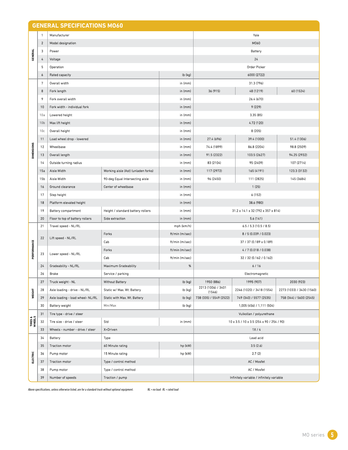| $\mathbf{1}$<br>Manufacturer<br>Yale<br>$\overline{2}$<br>M060<br>Model designation<br><b>GENERAL</b><br>3<br><b>Battery</b><br>Power<br>24<br>4<br>Voltage<br>5<br><b>Order Picker</b><br><b>Operation</b><br>lb (kg)<br>6000 (2722)<br>6<br><b>Rated capacity</b><br>31.3 (796)<br>7<br>Overall width<br>in (mm)<br>36 (915)<br>8<br>Fork length<br>in (mm)<br>48 (1219)<br>26.4 (670)<br>9<br>Fork overall width<br>in (mm)<br>9 (229)<br>10<br>Fork width - individual fork<br>in (mm)<br>10a<br>Lowered height<br>in (mm)<br>3.35(85)<br>4.72 (120)<br>10 <sub>b</sub><br>Max lift height<br>in (mm)<br>8 (205)<br>10c<br>Overall height<br>in (mm)<br>27.4 (696)<br>39.4 (1000)<br>11<br>Load wheel drop - lowered<br>in (mm)<br>DIMENSIONS<br>12<br>74.4 (1899)<br>Wheelbase<br>in (mm)<br>86.8 (2204)<br>in (mm)<br>13<br>Overall length<br>91.5 (2322)<br>103.5 (2627)<br>14<br>Outside turning radius<br>in (mm)<br>83 (2104)<br>95 (2409)<br>Aisle Width<br>Working aisle (Ast) (unladen forks)<br>117 (2972)<br>15a<br>in (mm)<br>165 (4191)<br>15b<br><b>Aisle Width</b><br>90-deg Equal Intersecting aisle<br>in (mm)<br>96 (2450)<br>111 (2825)<br>Ground clearance<br>Center of wheelbase<br>in (mm)<br>1(25)<br>16<br>17<br>6 (152)<br>Step height<br>in (mm)<br>Platform elevated height<br>in (mm)<br>38.6 (980)<br>18<br>Height / standard battery rollers<br>31.2 x 14.1 x 32 (792 x 357 x 814)<br>19<br><b>Battery compartment</b><br>in (mm)<br>20<br>5.6 (141)<br>Floor to top of battery rollers<br>Side extraction<br>in (mm)<br>21<br>Travel speed - NL/RL<br>mph (km/h)<br>6.5/5.3(10.5/8.5)<br>Forks<br>ft/min (m/sec)<br>8/5 (0.039 / 0.023)<br>22<br>Lift speed - NL/RL<br>PERFORMANCE<br>Cab<br>ft/min (m/sec)<br>37 / 37 (0.189 x 0.189)<br>Forks<br>ft/min (m/sec)<br>4/7 (0.018/0.038)<br>Lower speed - NL/RL<br>23<br>Cab<br>ft/min (m/sec)<br>32 / 32 (0.162 / 0.162)<br>Gradeability - NL/RL<br>%<br>6/16<br>24<br><b>Maximum Gradeability</b> | 60 (1524)<br>51.4 (1306)<br>98.8 (2509)<br>94.25 (2932)<br>107 (2714) |  |  |  |  |
|--------------------------------------------------------------------------------------------------------------------------------------------------------------------------------------------------------------------------------------------------------------------------------------------------------------------------------------------------------------------------------------------------------------------------------------------------------------------------------------------------------------------------------------------------------------------------------------------------------------------------------------------------------------------------------------------------------------------------------------------------------------------------------------------------------------------------------------------------------------------------------------------------------------------------------------------------------------------------------------------------------------------------------------------------------------------------------------------------------------------------------------------------------------------------------------------------------------------------------------------------------------------------------------------------------------------------------------------------------------------------------------------------------------------------------------------------------------------------------------------------------------------------------------------------------------------------------------------------------------------------------------------------------------------------------------------------------------------------------------------------------------------------------------------------------------------------------------------------------------------------------------------------------------------------------------------------------------------------------------|-----------------------------------------------------------------------|--|--|--|--|
|                                                                                                                                                                                                                                                                                                                                                                                                                                                                                                                                                                                                                                                                                                                                                                                                                                                                                                                                                                                                                                                                                                                                                                                                                                                                                                                                                                                                                                                                                                                                                                                                                                                                                                                                                                                                                                                                                                                                                                                      |                                                                       |  |  |  |  |
|                                                                                                                                                                                                                                                                                                                                                                                                                                                                                                                                                                                                                                                                                                                                                                                                                                                                                                                                                                                                                                                                                                                                                                                                                                                                                                                                                                                                                                                                                                                                                                                                                                                                                                                                                                                                                                                                                                                                                                                      |                                                                       |  |  |  |  |
|                                                                                                                                                                                                                                                                                                                                                                                                                                                                                                                                                                                                                                                                                                                                                                                                                                                                                                                                                                                                                                                                                                                                                                                                                                                                                                                                                                                                                                                                                                                                                                                                                                                                                                                                                                                                                                                                                                                                                                                      |                                                                       |  |  |  |  |
|                                                                                                                                                                                                                                                                                                                                                                                                                                                                                                                                                                                                                                                                                                                                                                                                                                                                                                                                                                                                                                                                                                                                                                                                                                                                                                                                                                                                                                                                                                                                                                                                                                                                                                                                                                                                                                                                                                                                                                                      |                                                                       |  |  |  |  |
|                                                                                                                                                                                                                                                                                                                                                                                                                                                                                                                                                                                                                                                                                                                                                                                                                                                                                                                                                                                                                                                                                                                                                                                                                                                                                                                                                                                                                                                                                                                                                                                                                                                                                                                                                                                                                                                                                                                                                                                      |                                                                       |  |  |  |  |
|                                                                                                                                                                                                                                                                                                                                                                                                                                                                                                                                                                                                                                                                                                                                                                                                                                                                                                                                                                                                                                                                                                                                                                                                                                                                                                                                                                                                                                                                                                                                                                                                                                                                                                                                                                                                                                                                                                                                                                                      |                                                                       |  |  |  |  |
|                                                                                                                                                                                                                                                                                                                                                                                                                                                                                                                                                                                                                                                                                                                                                                                                                                                                                                                                                                                                                                                                                                                                                                                                                                                                                                                                                                                                                                                                                                                                                                                                                                                                                                                                                                                                                                                                                                                                                                                      |                                                                       |  |  |  |  |
|                                                                                                                                                                                                                                                                                                                                                                                                                                                                                                                                                                                                                                                                                                                                                                                                                                                                                                                                                                                                                                                                                                                                                                                                                                                                                                                                                                                                                                                                                                                                                                                                                                                                                                                                                                                                                                                                                                                                                                                      |                                                                       |  |  |  |  |
|                                                                                                                                                                                                                                                                                                                                                                                                                                                                                                                                                                                                                                                                                                                                                                                                                                                                                                                                                                                                                                                                                                                                                                                                                                                                                                                                                                                                                                                                                                                                                                                                                                                                                                                                                                                                                                                                                                                                                                                      |                                                                       |  |  |  |  |
|                                                                                                                                                                                                                                                                                                                                                                                                                                                                                                                                                                                                                                                                                                                                                                                                                                                                                                                                                                                                                                                                                                                                                                                                                                                                                                                                                                                                                                                                                                                                                                                                                                                                                                                                                                                                                                                                                                                                                                                      |                                                                       |  |  |  |  |
|                                                                                                                                                                                                                                                                                                                                                                                                                                                                                                                                                                                                                                                                                                                                                                                                                                                                                                                                                                                                                                                                                                                                                                                                                                                                                                                                                                                                                                                                                                                                                                                                                                                                                                                                                                                                                                                                                                                                                                                      |                                                                       |  |  |  |  |
|                                                                                                                                                                                                                                                                                                                                                                                                                                                                                                                                                                                                                                                                                                                                                                                                                                                                                                                                                                                                                                                                                                                                                                                                                                                                                                                                                                                                                                                                                                                                                                                                                                                                                                                                                                                                                                                                                                                                                                                      |                                                                       |  |  |  |  |
|                                                                                                                                                                                                                                                                                                                                                                                                                                                                                                                                                                                                                                                                                                                                                                                                                                                                                                                                                                                                                                                                                                                                                                                                                                                                                                                                                                                                                                                                                                                                                                                                                                                                                                                                                                                                                                                                                                                                                                                      |                                                                       |  |  |  |  |
|                                                                                                                                                                                                                                                                                                                                                                                                                                                                                                                                                                                                                                                                                                                                                                                                                                                                                                                                                                                                                                                                                                                                                                                                                                                                                                                                                                                                                                                                                                                                                                                                                                                                                                                                                                                                                                                                                                                                                                                      |                                                                       |  |  |  |  |
|                                                                                                                                                                                                                                                                                                                                                                                                                                                                                                                                                                                                                                                                                                                                                                                                                                                                                                                                                                                                                                                                                                                                                                                                                                                                                                                                                                                                                                                                                                                                                                                                                                                                                                                                                                                                                                                                                                                                                                                      |                                                                       |  |  |  |  |
|                                                                                                                                                                                                                                                                                                                                                                                                                                                                                                                                                                                                                                                                                                                                                                                                                                                                                                                                                                                                                                                                                                                                                                                                                                                                                                                                                                                                                                                                                                                                                                                                                                                                                                                                                                                                                                                                                                                                                                                      |                                                                       |  |  |  |  |
|                                                                                                                                                                                                                                                                                                                                                                                                                                                                                                                                                                                                                                                                                                                                                                                                                                                                                                                                                                                                                                                                                                                                                                                                                                                                                                                                                                                                                                                                                                                                                                                                                                                                                                                                                                                                                                                                                                                                                                                      |                                                                       |  |  |  |  |
|                                                                                                                                                                                                                                                                                                                                                                                                                                                                                                                                                                                                                                                                                                                                                                                                                                                                                                                                                                                                                                                                                                                                                                                                                                                                                                                                                                                                                                                                                                                                                                                                                                                                                                                                                                                                                                                                                                                                                                                      | 123.3 (3132)                                                          |  |  |  |  |
|                                                                                                                                                                                                                                                                                                                                                                                                                                                                                                                                                                                                                                                                                                                                                                                                                                                                                                                                                                                                                                                                                                                                                                                                                                                                                                                                                                                                                                                                                                                                                                                                                                                                                                                                                                                                                                                                                                                                                                                      | 145 (3684)                                                            |  |  |  |  |
|                                                                                                                                                                                                                                                                                                                                                                                                                                                                                                                                                                                                                                                                                                                                                                                                                                                                                                                                                                                                                                                                                                                                                                                                                                                                                                                                                                                                                                                                                                                                                                                                                                                                                                                                                                                                                                                                                                                                                                                      |                                                                       |  |  |  |  |
|                                                                                                                                                                                                                                                                                                                                                                                                                                                                                                                                                                                                                                                                                                                                                                                                                                                                                                                                                                                                                                                                                                                                                                                                                                                                                                                                                                                                                                                                                                                                                                                                                                                                                                                                                                                                                                                                                                                                                                                      |                                                                       |  |  |  |  |
|                                                                                                                                                                                                                                                                                                                                                                                                                                                                                                                                                                                                                                                                                                                                                                                                                                                                                                                                                                                                                                                                                                                                                                                                                                                                                                                                                                                                                                                                                                                                                                                                                                                                                                                                                                                                                                                                                                                                                                                      |                                                                       |  |  |  |  |
|                                                                                                                                                                                                                                                                                                                                                                                                                                                                                                                                                                                                                                                                                                                                                                                                                                                                                                                                                                                                                                                                                                                                                                                                                                                                                                                                                                                                                                                                                                                                                                                                                                                                                                                                                                                                                                                                                                                                                                                      |                                                                       |  |  |  |  |
|                                                                                                                                                                                                                                                                                                                                                                                                                                                                                                                                                                                                                                                                                                                                                                                                                                                                                                                                                                                                                                                                                                                                                                                                                                                                                                                                                                                                                                                                                                                                                                                                                                                                                                                                                                                                                                                                                                                                                                                      |                                                                       |  |  |  |  |
|                                                                                                                                                                                                                                                                                                                                                                                                                                                                                                                                                                                                                                                                                                                                                                                                                                                                                                                                                                                                                                                                                                                                                                                                                                                                                                                                                                                                                                                                                                                                                                                                                                                                                                                                                                                                                                                                                                                                                                                      |                                                                       |  |  |  |  |
|                                                                                                                                                                                                                                                                                                                                                                                                                                                                                                                                                                                                                                                                                                                                                                                                                                                                                                                                                                                                                                                                                                                                                                                                                                                                                                                                                                                                                                                                                                                                                                                                                                                                                                                                                                                                                                                                                                                                                                                      |                                                                       |  |  |  |  |
|                                                                                                                                                                                                                                                                                                                                                                                                                                                                                                                                                                                                                                                                                                                                                                                                                                                                                                                                                                                                                                                                                                                                                                                                                                                                                                                                                                                                                                                                                                                                                                                                                                                                                                                                                                                                                                                                                                                                                                                      |                                                                       |  |  |  |  |
|                                                                                                                                                                                                                                                                                                                                                                                                                                                                                                                                                                                                                                                                                                                                                                                                                                                                                                                                                                                                                                                                                                                                                                                                                                                                                                                                                                                                                                                                                                                                                                                                                                                                                                                                                                                                                                                                                                                                                                                      |                                                                       |  |  |  |  |
|                                                                                                                                                                                                                                                                                                                                                                                                                                                                                                                                                                                                                                                                                                                                                                                                                                                                                                                                                                                                                                                                                                                                                                                                                                                                                                                                                                                                                                                                                                                                                                                                                                                                                                                                                                                                                                                                                                                                                                                      |                                                                       |  |  |  |  |
|                                                                                                                                                                                                                                                                                                                                                                                                                                                                                                                                                                                                                                                                                                                                                                                                                                                                                                                                                                                                                                                                                                                                                                                                                                                                                                                                                                                                                                                                                                                                                                                                                                                                                                                                                                                                                                                                                                                                                                                      |                                                                       |  |  |  |  |
| 26<br><b>Brake</b><br>Service / parking<br>Electromagnetic                                                                                                                                                                                                                                                                                                                                                                                                                                                                                                                                                                                                                                                                                                                                                                                                                                                                                                                                                                                                                                                                                                                                                                                                                                                                                                                                                                                                                                                                                                                                                                                                                                                                                                                                                                                                                                                                                                                           |                                                                       |  |  |  |  |
| 1950 (886)<br>27<br>Truck weight - NL<br><b>Without Battery</b><br>lb (kg)<br>1995 (907)<br>2213 (1006) / 3401                                                                                                                                                                                                                                                                                                                                                                                                                                                                                                                                                                                                                                                                                                                                                                                                                                                                                                                                                                                                                                                                                                                                                                                                                                                                                                                                                                                                                                                                                                                                                                                                                                                                                                                                                                                                                                                                       | 2030 (923)                                                            |  |  |  |  |
| Static w/ Max. Wt. Battery<br>lb (kg)<br>2246 (1020) / 3418 (1554)<br>28<br>Axle loading - drive - NL/RL<br>WEIGHT<br>(1546)                                                                                                                                                                                                                                                                                                                                                                                                                                                                                                                                                                                                                                                                                                                                                                                                                                                                                                                                                                                                                                                                                                                                                                                                                                                                                                                                                                                                                                                                                                                                                                                                                                                                                                                                                                                                                                                         | 2273 (1033) / 3430 (1560)                                             |  |  |  |  |
| 738 (335) / 5549 (2522)<br>lb (kg)<br>749 (340) / 5577 (2535)<br>29<br>Axle loading - load wheel- NL/RL<br>Static with Max. Wt. Battery                                                                                                                                                                                                                                                                                                                                                                                                                                                                                                                                                                                                                                                                                                                                                                                                                                                                                                                                                                                                                                                                                                                                                                                                                                                                                                                                                                                                                                                                                                                                                                                                                                                                                                                                                                                                                                              | 758 (344) / 5600 (2545)                                               |  |  |  |  |
| 30<br>lb (kg)<br><b>Battery weight</b><br>Min/Max<br>1,005 (456) / 1,111 (504)                                                                                                                                                                                                                                                                                                                                                                                                                                                                                                                                                                                                                                                                                                                                                                                                                                                                                                                                                                                                                                                                                                                                                                                                                                                                                                                                                                                                                                                                                                                                                                                                                                                                                                                                                                                                                                                                                                       |                                                                       |  |  |  |  |
| 31<br>Tire type - drive / steer<br>Vulkollan / polyurethane                                                                                                                                                                                                                                                                                                                                                                                                                                                                                                                                                                                                                                                                                                                                                                                                                                                                                                                                                                                                                                                                                                                                                                                                                                                                                                                                                                                                                                                                                                                                                                                                                                                                                                                                                                                                                                                                                                                          |                                                                       |  |  |  |  |
| TIRES &<br>WHEELS<br>Std<br>in (mm)<br>32<br>Tire size - drive / steer<br>10 x 3.5 / 10 x 3.5 (254 x 90 / 254 / 90)                                                                                                                                                                                                                                                                                                                                                                                                                                                                                                                                                                                                                                                                                                                                                                                                                                                                                                                                                                                                                                                                                                                                                                                                                                                                                                                                                                                                                                                                                                                                                                                                                                                                                                                                                                                                                                                                  |                                                                       |  |  |  |  |
| 33<br>Wheels - number - drive / steer<br>X=Driven<br>1X/4<br>Lead acid                                                                                                                                                                                                                                                                                                                                                                                                                                                                                                                                                                                                                                                                                                                                                                                                                                                                                                                                                                                                                                                                                                                                                                                                                                                                                                                                                                                                                                                                                                                                                                                                                                                                                                                                                                                                                                                                                                               |                                                                       |  |  |  |  |
| 34<br><b>Battery</b><br>Type<br>hp (kW)<br><b>Traction motor</b>                                                                                                                                                                                                                                                                                                                                                                                                                                                                                                                                                                                                                                                                                                                                                                                                                                                                                                                                                                                                                                                                                                                                                                                                                                                                                                                                                                                                                                                                                                                                                                                                                                                                                                                                                                                                                                                                                                                     |                                                                       |  |  |  |  |
| 60 Minute rating<br>3.5(2.6)<br>35<br>hp (kW)<br>2.7(2)<br>36<br>Pump motor<br>15 Minute rating                                                                                                                                                                                                                                                                                                                                                                                                                                                                                                                                                                                                                                                                                                                                                                                                                                                                                                                                                                                                                                                                                                                                                                                                                                                                                                                                                                                                                                                                                                                                                                                                                                                                                                                                                                                                                                                                                      |                                                                       |  |  |  |  |
| ELECTRIC<br>AC / Mosfet<br>37<br>Type / control method<br><b>Traction motor</b>                                                                                                                                                                                                                                                                                                                                                                                                                                                                                                                                                                                                                                                                                                                                                                                                                                                                                                                                                                                                                                                                                                                                                                                                                                                                                                                                                                                                                                                                                                                                                                                                                                                                                                                                                                                                                                                                                                      |                                                                       |  |  |  |  |
| AC / Mosfet<br>38<br>Pump motor<br>Type / control method                                                                                                                                                                                                                                                                                                                                                                                                                                                                                                                                                                                                                                                                                                                                                                                                                                                                                                                                                                                                                                                                                                                                                                                                                                                                                                                                                                                                                                                                                                                                                                                                                                                                                                                                                                                                                                                                                                                             |                                                                       |  |  |  |  |
| 39<br>Number of speeds<br>Traction / pump<br>Infinitely variable / infinitely variable                                                                                                                                                                                                                                                                                                                                                                                                                                                                                                                                                                                                                                                                                                                                                                                                                                                                                                                                                                                                                                                                                                                                                                                                                                                                                                                                                                                                                                                                                                                                                                                                                                                                                                                                                                                                                                                                                               |                                                                       |  |  |  |  |
|                                                                                                                                                                                                                                                                                                                                                                                                                                                                                                                                                                                                                                                                                                                                                                                                                                                                                                                                                                                                                                                                                                                                                                                                                                                                                                                                                                                                                                                                                                                                                                                                                                                                                                                                                                                                                                                                                                                                                                                      |                                                                       |  |  |  |  |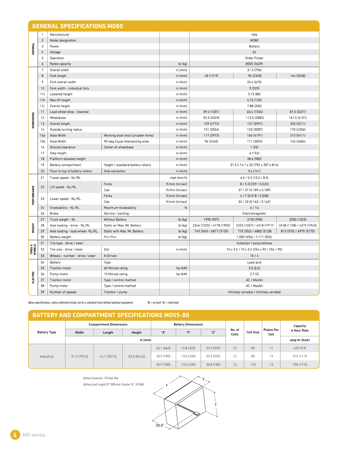|                   | 1                   | Manufacturer                                                 |                                                                                                                                                              |                               |                                                                       |                                  |                           |                                             |            | Yale                                      |                           |                                          |  |  |
|-------------------|---------------------|--------------------------------------------------------------|--------------------------------------------------------------------------------------------------------------------------------------------------------------|-------------------------------|-----------------------------------------------------------------------|----------------------------------|---------------------------|---------------------------------------------|------------|-------------------------------------------|---------------------------|------------------------------------------|--|--|
|                   | $\overline{2}$      | Model designation                                            |                                                                                                                                                              |                               |                                                                       |                                  |                           |                                             |            | M080                                      |                           |                                          |  |  |
|                   | 3                   | Power                                                        |                                                                                                                                                              |                               |                                                                       |                                  |                           |                                             |            | <b>Battery</b>                            |                           |                                          |  |  |
| <b>GENERAL</b>    | 4                   | Voltage                                                      |                                                                                                                                                              |                               |                                                                       |                                  |                           |                                             |            | 24                                        |                           |                                          |  |  |
|                   | 5                   | Operation                                                    |                                                                                                                                                              |                               |                                                                       |                                  |                           |                                             |            | <b>Order Picker</b>                       |                           |                                          |  |  |
|                   | 6                   | <b>Rated capacity</b>                                        |                                                                                                                                                              |                               |                                                                       |                                  | lb (kg)                   |                                             |            | 8000 (3629)                               |                           |                                          |  |  |
|                   | $\overline{7}$      | Overall width                                                |                                                                                                                                                              |                               |                                                                       |                                  | in (mm)                   |                                             |            | 31.3 (796)                                |                           |                                          |  |  |
|                   | 8                   | Fork length                                                  |                                                                                                                                                              |                               |                                                                       |                                  | in (mm)                   | 48 (1219)                                   |            | 96 (2348)                                 |                           | 144 (3658)                               |  |  |
|                   | 9                   | Fork overall width                                           |                                                                                                                                                              |                               |                                                                       |                                  | in (mm)                   |                                             |            | 26.4 (670)                                |                           |                                          |  |  |
|                   | 10                  |                                                              | Fork width - individual fork                                                                                                                                 |                               |                                                                       |                                  | in (mm)                   | 9 (229)                                     |            |                                           |                           |                                          |  |  |
|                   | 10a                 | Lowered height                                               |                                                                                                                                                              |                               |                                                                       |                                  | in (mm)                   |                                             |            | 3.15(80)                                  |                           |                                          |  |  |
|                   | 10 <sub>b</sub>     | Max lift height                                              |                                                                                                                                                              |                               |                                                                       |                                  | in (mm)                   |                                             |            | 4.72 (120)                                |                           |                                          |  |  |
|                   | 10c                 | Overall height                                               |                                                                                                                                                              |                               |                                                                       |                                  | in (mm)                   |                                             |            | 7.88 (200)                                |                           |                                          |  |  |
|                   | 11                  |                                                              | Load wheel drop - lowered                                                                                                                                    |                               | in (mm)                                                               |                                  |                           | 39.4 (1001)                                 |            | 60.4 (1534)                               |                           | 87.5 (2221)                              |  |  |
| <b>DIMENSIONS</b> | 12<br>13            | Wheelbase<br>Overall length                                  |                                                                                                                                                              |                               |                                                                       |                                  | in (mm)<br>in (mm)        | 92.5 (2349)<br>109 (2772)                   |            | 113.5 (2882)<br>157 (3991)                |                           | 161.5 (4101)<br>205 (5211)               |  |  |
|                   | 14                  |                                                              | Outside turning radius                                                                                                                                       |                               |                                                                       |                                  | in (mm)                   | 101 (2554)                                  |            | 122 (3087)                                |                           | 170 (4306)                               |  |  |
|                   | 15a                 | Aisle Width                                                  |                                                                                                                                                              |                               | Working aisle (Ast) (unladen forks)                                   |                                  | in (mm)                   | 117 (2972)                                  |            | 165 (4191)                                |                           | 213 (5411)                               |  |  |
|                   | 15b                 | Aisle Width                                                  |                                                                                                                                                              |                               | 90-deg Equal Intersecting aisle                                       |                                  | in (mm)                   | 96 (2450)                                   |            | 111 (2825)                                |                           | 145 (3684)                               |  |  |
|                   | 16                  | Ground clearance                                             |                                                                                                                                                              | Center of wheelbase           |                                                                       |                                  | in (mm)                   |                                             |            | 1(25)                                     |                           |                                          |  |  |
|                   | 17                  | Step height                                                  |                                                                                                                                                              |                               |                                                                       |                                  | in (mm)                   | 6 (152)                                     |            |                                           |                           |                                          |  |  |
|                   | 18                  |                                                              | Platform elevated height                                                                                                                                     |                               |                                                                       |                                  | in (mm)                   |                                             |            | 38.6 (980)                                |                           |                                          |  |  |
|                   | 19                  |                                                              | <b>Battery compartment</b>                                                                                                                                   |                               | Height / standard battery rollers                                     |                                  | in (mm)                   |                                             |            | 31.2 x 14.1 x 32 (792 x 357 x 814)        |                           |                                          |  |  |
|                   | 20                  |                                                              | Floor to top of battery rollers                                                                                                                              | Side extraction               |                                                                       |                                  | in (mm)                   |                                             |            | 5.6(141)                                  |                           |                                          |  |  |
|                   | 21                  |                                                              | Travel speed - NL/RL                                                                                                                                         |                               |                                                                       |                                  | mph (km/h)                |                                             |            | 6.5/5.3(10.5/8.5)                         |                           |                                          |  |  |
|                   | 22                  | Lift speed - NL/RL                                           |                                                                                                                                                              | Forks                         |                                                                       |                                  | ft/min (m/sec)            | 8 / 5 (0.039 / 0.023)                       |            |                                           |                           |                                          |  |  |
| PERFORMANCE       |                     |                                                              |                                                                                                                                                              | Cab                           |                                                                       |                                  | ft/min (m/sec)            | 37 / 37 (0.189 x 0.189)                     |            |                                           |                           |                                          |  |  |
|                   | 23                  | Lower speed - NL/RL                                          |                                                                                                                                                              | Forks                         |                                                                       |                                  | ft/min (m/sec)            | 4/7 (0.018/0.038)                           |            |                                           |                           |                                          |  |  |
|                   |                     |                                                              |                                                                                                                                                              | Cab                           |                                                                       |                                  | ft/min (m/sec)            | 32 / 32 (0.162 / 0.162)                     |            |                                           |                           |                                          |  |  |
|                   | 24                  | Gradeability - NL/RL                                         |                                                                                                                                                              |                               | <b>Maximum Gradeability</b>                                           |                                  | %                         | 6/16                                        |            |                                           |                           |                                          |  |  |
|                   | 26<br>27            | Brake                                                        |                                                                                                                                                              |                               | Service / parking<br><b>Without Battery</b>                           |                                  |                           | Electromagnetic<br>1995 (907)<br>2100 (955) |            |                                           |                           |                                          |  |  |
|                   | 28                  | Truck weight - NL                                            | Axle loading - drive - NL/RL                                                                                                                                 |                               | Static w/ Max. Wt. Battery                                            |                                  | lb (kg)<br>lb (kg)        | 2246 (1020) / 4178 (1900)                   |            | 2325 (1057) / 4218 (1917)                 |                           | 2250 (1023)<br>2438 (1108) / 4275 (1943) |  |  |
| <b>WEIGHT</b>     | 29                  |                                                              | Axle loading - load wheel- NL/RL                                                                                                                             |                               | Static with Max. Wt. Battery                                          |                                  | lb (kg)                   | 749 (340) / 6817 (3100)                     |            | 775 (352) / 6882 (3128)                   |                           | 813 (370) / 6975 (3170)                  |  |  |
|                   | 30                  | <b>Battery weight</b>                                        |                                                                                                                                                              | Min/Max                       |                                                                       |                                  | lb (kg)                   |                                             |            | 1,005 (456) / 1,111 (504)                 |                           |                                          |  |  |
|                   | 31                  | Tire type - drive / steer                                    |                                                                                                                                                              |                               |                                                                       |                                  |                           | Vulkollan / polyurethane                    |            |                                           |                           |                                          |  |  |
| TIRES &<br>WHEELS | 32                  |                                                              | Tire size - drive / steer                                                                                                                                    | Std                           |                                                                       |                                  | in (mm)                   | 10 x 3.5 / 10 x 3.5 (254 x 90 / 254 / 90)   |            |                                           |                           |                                          |  |  |
|                   | 33                  | Wheels - number - drive / steer                              |                                                                                                                                                              | X=Driven                      |                                                                       |                                  |                           | 1X/4                                        |            |                                           |                           |                                          |  |  |
|                   | 34                  | <b>Battery</b>                                               |                                                                                                                                                              |                               | Type<br>60 Minute rating<br>15 Minute rating<br>Type / control method |                                  |                           | Lead acid<br>3.5(2.6)                       |            |                                           |                           |                                          |  |  |
|                   | 35                  | <b>Traction motor</b><br>Pump motor<br><b>Traction motor</b> |                                                                                                                                                              |                               |                                                                       |                                  | hp (kW)                   |                                             |            |                                           |                           |                                          |  |  |
| ă                 | 36                  |                                                              |                                                                                                                                                              |                               |                                                                       |                                  | hp (kW)                   |                                             | 2.7(2)     |                                           |                           |                                          |  |  |
| ELECT             | 37                  |                                                              |                                                                                                                                                              |                               |                                                                       |                                  |                           | AC / Mosfet                                 |            |                                           |                           |                                          |  |  |
|                   | 38                  | Pump motor                                                   | Type / control method                                                                                                                                        |                               |                                                                       |                                  |                           | AC / Mosfet                                 |            |                                           |                           |                                          |  |  |
|                   | 39                  | Number of speeds                                             |                                                                                                                                                              |                               | Traction / pump                                                       |                                  |                           |                                             |            | Infinitely variable / infinitely variable |                           |                                          |  |  |
|                   |                     |                                                              | Above specifications, unless otherwise listed, are for a standard truck without optional equipment.<br><b>BATTERY AND COMPARTMENT SPECIFICATIONS M055-80</b> | <b>Compartment Dimensions</b> |                                                                       | $NL = no$ load $RL = rated$ load | <b>Battery Dimensions</b> |                                             |            |                                           |                           | Capacity                                 |  |  |
|                   | <b>Battery Type</b> | Width                                                        |                                                                                                                                                              | Length                        | Height                                                                |                                  | "Х"<br>"Ү"<br>"Z"         |                                             |            | No. of<br><b>Cell Size</b><br>Cells       | <b>Plates Per</b><br>Cell | 6 Hour Rate                              |  |  |
|                   |                     |                                                              | in (mm)                                                                                                                                                      |                               |                                                                       |                                  |                           |                                             |            |                                           |                           | amp hr (kwh)                             |  |  |
|                   |                     |                                                              |                                                                                                                                                              |                               |                                                                       | 26.1 (663)                       | 12.8 (325)                |                                             | 23.3 (592) | 12<br>85                                  | 11                        | 425 (9.9)                                |  |  |
|                   | Industrial          |                                                              | 31.2 (792.0)<br>14.1 (357.0)                                                                                                                                 | 32.0 (814.0)                  | 30.9 (785)                                                            | 13.0 (330)                       | 23.3 (592)                |                                             | 12<br>85   | 13                                        | 510 (11.9)                |                                          |  |  |
|                   |                     |                                                              |                                                                                                                                                              |                               |                                                                       | 30.9 (785)                       | 13.0 (330)                |                                             | 30.8 (782) | 12<br>125                                 | 13                        | 750 (17.5)                               |  |  |
|                   |                     |                                                              |                                                                                                                                                              |                               |                                                                       |                                  |                           |                                             |            |                                           |                           |                                          |  |  |

## **BATTERY AND COMPARTMENT SPECIFICATIONS MO55-80**

| <u>DATTENT AND COMPANTMENT OF ECITIOATIONS MOSS-00</u> |                               |              |              |                           |            |              |                 |                  |                    |             |  |
|--------------------------------------------------------|-------------------------------|--------------|--------------|---------------------------|------------|--------------|-----------------|------------------|--------------------|-------------|--|
|                                                        | <b>Compartment Dimensions</b> |              |              | <b>Battery Dimensions</b> |            |              |                 |                  |                    | Capacity    |  |
| <b>Battery Type</b>                                    | Width                         | Length       | Height       | "Х"                       | "V"        | "Z"          | No. of<br>Cells | <b>Cell Size</b> | Plates Per<br>Cell | 6 Hour Rate |  |
|                                                        |                               | in $(mm)$    |              |                           |            | amp hr (kwh) |                 |                  |                    |             |  |
|                                                        |                               |              |              | 26.1(663)                 | 12.8 (325) | 23.3 (592)   | 12 <sup>°</sup> | 85               | 11                 | 425 (9.9)   |  |
| Industrial                                             | 31.2 (792.0)                  | 14.1 (357.0) | 32.0 (814.0) | 30.9 (785)                | 13.0 (330) | 23.3 (592)   | 12 <sup>2</sup> | 85               | 13                 | 510 (11.9)  |  |
|                                                        |                               |              |              | 30.9 (785)                | 13.0 (330) | 30.8 (782)   | 12 <sup>°</sup> | 125              | 13                 | 750 (17.5)  |  |

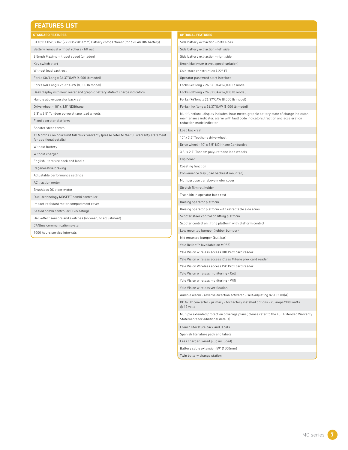| <b>FEATURES LIST</b>                                                                                                   |                                                                                                                |  |  |  |  |  |
|------------------------------------------------------------------------------------------------------------------------|----------------------------------------------------------------------------------------------------------------|--|--|--|--|--|
| <b>STANDARD FEATURES</b>                                                                                               | <b>OPTIONAL FEATURES</b>                                                                                       |  |  |  |  |  |
| 31.18x14.05x32.04" (792x357x814mm) Battery compartment (for 620 Ah DIN battery)                                        | Side battery extraction - both sides                                                                           |  |  |  |  |  |
| Battery removal without rollers - lift out                                                                             | Side battery extraction - left side                                                                            |  |  |  |  |  |
| 6.5mph Maximum travel speed (unladen)                                                                                  | Side battery extraction - right side                                                                           |  |  |  |  |  |
| Key switch start                                                                                                       | 8mph Maximum travel speed (unladen)                                                                            |  |  |  |  |  |
| Without load backrest                                                                                                  | Cold store construction (-22° F)                                                                               |  |  |  |  |  |
| Forks (36"Long x 26.37"OAW (6,000 lb model)                                                                            | Operator password start interlock                                                                              |  |  |  |  |  |
| Forks (48"Long x 26.37"OAW (8,000 lb model)                                                                            | Forks (48"long x 26.37"0AW (6,000 lb model)                                                                    |  |  |  |  |  |
| Dash display with hour meter and graphic battery state of charge indicators                                            | Forks (60"long x 26.37"0AW (6,000 lb model)                                                                    |  |  |  |  |  |
| Handle above operator backrest                                                                                         | Forks (96"long x 26.37"0AW (8,000 lb model)                                                                    |  |  |  |  |  |
| Drive wheel - 10" x 3.5" NDIIthane                                                                                     | Forks (144"long x 26.37"0AW (8,000 lb model)                                                                   |  |  |  |  |  |
| 3.3" x 3.5" Tandem polyurethane load wheels                                                                            | Multifunctional display includes: hour meter, graphic battery state of charge indicator,                       |  |  |  |  |  |
| Fixed operator platform                                                                                                | maintenance indicator, alarm with fault code indicators, traction and acceleration<br>reduction mode indicator |  |  |  |  |  |
| Scooter steer control                                                                                                  | Load backrest                                                                                                  |  |  |  |  |  |
| 12 Months / no hour limit full truck warranty (please refer to the full warranty statement<br>for additional details). | 10" x 3.5" Topthane drive wheel                                                                                |  |  |  |  |  |
| Without battery                                                                                                        | Drive wheel - 10" x 3.5" NDIIthane Conductive                                                                  |  |  |  |  |  |
| Without charger                                                                                                        | 3.3" x 2.7" Tandem polyurethane load wheels                                                                    |  |  |  |  |  |
| English literature pack and labels                                                                                     | Clip board                                                                                                     |  |  |  |  |  |
| Regenerative braking                                                                                                   | Coasting function                                                                                              |  |  |  |  |  |
| Adjustable performance settings                                                                                        | Convenience tray (load backrest mounted)                                                                       |  |  |  |  |  |
| AC traction motor                                                                                                      | Multipurpose bar above motor cover                                                                             |  |  |  |  |  |
| Brushless DC steer motor                                                                                               | Stretch film roll holder                                                                                       |  |  |  |  |  |
| Dual-technology MOSFET combi controller                                                                                | Trash bin in operator back rest                                                                                |  |  |  |  |  |
| Impact-resistant motor compartment cover                                                                               | Raising operator platform                                                                                      |  |  |  |  |  |
| Sealed combi controller (IP65 rating)                                                                                  | Raising operator platform with retractable side arms                                                           |  |  |  |  |  |
| Hall-effect sensors and switches (no wear, no adjustment)                                                              | Scooter steer control on lifting platform                                                                      |  |  |  |  |  |
| CANbus communication system                                                                                            | Scooter control on lifting platform with platform control                                                      |  |  |  |  |  |
| 1000 hours service intervals                                                                                           | Low mounted bumper (rubber bumper)                                                                             |  |  |  |  |  |
|                                                                                                                        | Mid mounted bumper (bull bar)                                                                                  |  |  |  |  |  |

Yale Reliant™ (available on MO55)

Statements for additional details). French literature pack and labels Spanish literature pack and labels Less charger (wired plug included) Battery cable extension 59" (1500mm) Twin battery change station

@ 12 volts

Yale Vision wireless access HID Prox card reader Yale Vision wireless access iClass MiFare prox card reader Yale Vision Wireless access ISO Prox card reader Yale Vision wireless monitoring - Cell Yale Vision wireless monitoring - Wifi Yale Vision wireless verification

Audible alarm - reverse direction activated - self-adjusting 82-102 dB(A) DC to DC converter - primary - for factory installed options - 25 amps/300 watts

Multiple extended protection coverage plans( please refer to the Full Extended Warranty